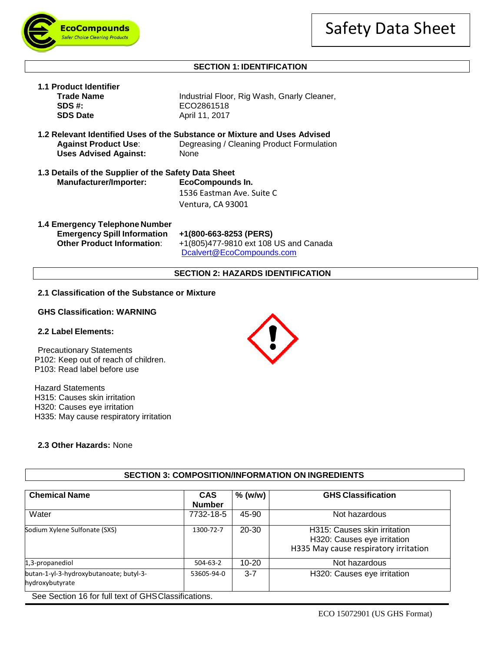



**1.1 Product Identifier**

# **SECTION 1: IDENTIFICATION**

| 1.1 Product Identifier                                       |                                                                                                                                |  |  |  |  |  |  |
|--------------------------------------------------------------|--------------------------------------------------------------------------------------------------------------------------------|--|--|--|--|--|--|
| <b>Trade Name</b>                                            | Industrial Floor, Rig Wash, Gnarly Cleaner,                                                                                    |  |  |  |  |  |  |
| SDS#                                                         | ECO2861518                                                                                                                     |  |  |  |  |  |  |
| <b>SDS Date</b>                                              | April 11, 2017                                                                                                                 |  |  |  |  |  |  |
| <b>Against Product Use:</b><br><b>Uses Advised Against:</b>  | 1.2 Relevant Identified Uses of the Substance or Mixture and Uses Advised<br>Degreasing / Cleaning Product Formulation<br>None |  |  |  |  |  |  |
| 1.3 Details of the Supplier of the Safety Data Sheet         |                                                                                                                                |  |  |  |  |  |  |
| Manufacturer/Importer:                                       | EcoCompounds In.                                                                                                               |  |  |  |  |  |  |
|                                                              | 1536 Eastman Ave. Suite C                                                                                                      |  |  |  |  |  |  |
|                                                              | Ventura, CA 93001                                                                                                              |  |  |  |  |  |  |
| 1.4 Emergency Telephone Number<br>Emanuaran: Cullinformation | $\sim$ 4/000 669 0059 (BEBC)                                                                                                   |  |  |  |  |  |  |

**Emergency Spill Information +1(800-663-8253 (PERS)**

**Other Product Information**: +1(805)477-9810 ext 108 US and Canada [Dcalvert@EcoCompounds.com](mailto:Dcalvert@EcoCompounds.com)

#### **SECTION 2: HAZARDS IDENTIFICATION**

#### **2.1 Classification of the Substance or Mixture**

# **GHS Classification: WARNING**

## **2.2 Label Elements:**

Precautionary Statements P102: Keep out of reach of children. P103: Read label before use

Hazard Statements H315: Causes skin irritation H320: Causes eye irritation H335: May cause respiratory irritation

## **2.3 Other Hazards:** None



# **SECTION 3: COMPOSITION/INFORMATION ON INGREDIENTS**

| <b>CAS</b><br><b>Number</b> | $%$ (w/w) | <b>GHS Classification</b>                                                                            |  |  |
|-----------------------------|-----------|------------------------------------------------------------------------------------------------------|--|--|
| 7732-18-5                   | 45-90     | Not hazardous                                                                                        |  |  |
| 1300-72-7                   | 20-30     | H315: Causes skin irritation<br>H320: Causes eye irritation<br>H335 May cause respiratory irritation |  |  |
| $504-63-2$                  | $10 - 20$ | Not hazardous                                                                                        |  |  |
| 53605-94-0                  | $3 - 7$   | H320: Causes eye irritation                                                                          |  |  |
|                             |           |                                                                                                      |  |  |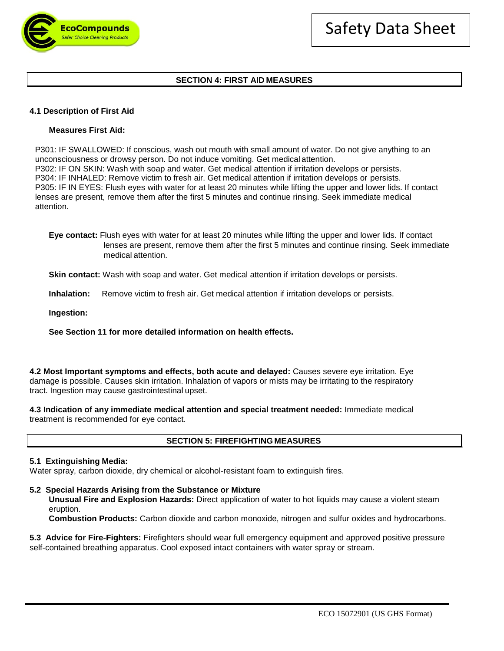

## **SECTION 4: FIRST AID MEASURES**

## **4.1 Description of First Aid**

### **Measures First Aid:**

P301: IF SWALLOWED: If conscious, wash out mouth with small amount of water. Do not give anything to an unconsciousness or drowsy person. Do not induce vomiting. Get medical attention. P302: IF ON SKIN: Wash with soap and water. Get medical attention if irritation develops or persists. P304: IF INHALED: Remove victim to fresh air. Get medical attention if irritation develops or persists. P305: IF IN EYES: Flush eyes with water for at least 20 minutes while lifting the upper and lower lids. If contact lenses are present, remove them after the first 5 minutes and continue rinsing. Seek immediate medical attention.

**Eye contact:** Flush eyes with water for at least 20 minutes while lifting the upper and lower lids. If contact lenses are present, remove them after the first 5 minutes and continue rinsing. Seek immediate medical attention.

**Skin contact:** Wash with soap and water. Get medical attention if irritation develops or persists.

**Inhalation:** Remove victim to fresh air. Get medical attention if irritation develops or persists.

**Ingestion:**

### **See Section 11 for more detailed information on health effects.**

**4.2 Most Important symptoms and effects, both acute and delayed:** Causes severe eye irritation. Eye damage is possible. Causes skin irritation. Inhalation of vapors or mists may be irritating to the respiratory tract. Ingestion may cause gastrointestinal upset.

**4.3 Indication of any immediate medical attention and special treatment needed:** Immediate medical treatment is recommended for eye contact.

#### **SECTION 5: FIREFIGHTING MEASURES**

### **5.1 Extinguishing Media:**

Water spray, carbon dioxide, dry chemical or alcohol-resistant foam to extinguish fires.

#### **5.2 Special Hazards Arising from the Substance or Mixture**

**Unusual Fire and Explosion Hazards:** Direct application of water to hot liquids may cause a violent steam eruption.

**Combustion Products:** Carbon dioxide and carbon monoxide, nitrogen and sulfur oxides and hydrocarbons.

**5.3 Advice for Fire-Fighters:** Firefighters should wear full emergency equipment and approved positive pressure self-contained breathing apparatus. Cool exposed intact containers with water spray or stream.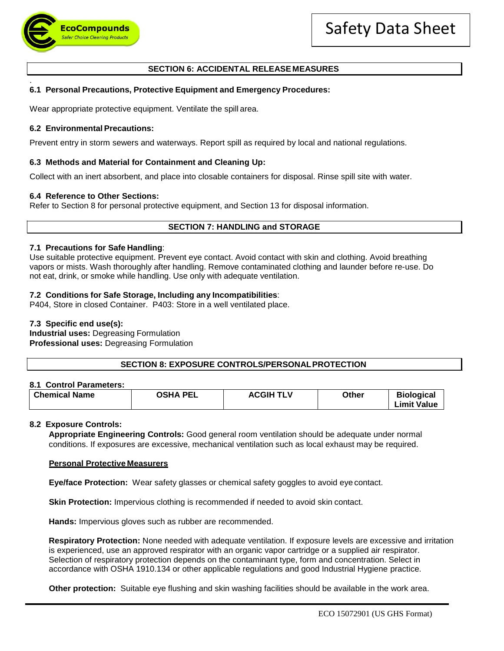

# **SECTION 6: ACCIDENTAL RELEASE MEASURES**

#### . **6.1 Personal Precautions, Protective Equipment and Emergency Procedures:**

Wear appropriate protective equipment. Ventilate the spill area.

## **6.2 Environmental Precautions:**

Prevent entry in storm sewers and waterways. Report spill as required by local and national regulations.

## **6.3 Methods and Material for Containment and Cleaning Up:**

Collect with an inert absorbent, and place into closable containers for disposal. Rinse spill site with water.

## **6.4 Reference to Other Sections:**

Refer to Section 8 for personal protective equipment, and Section 13 for disposal information.

# **SECTION 7: HANDLING and STORAGE**

### **7.1 Precautions for Safe Handling**:

Use suitable protective equipment. Prevent eye contact. Avoid contact with skin and clothing. Avoid breathing vapors or mists. Wash thoroughly after handling. Remove contaminated clothing and launder before re-use. Do not eat, drink, or smoke while handling. Use only with adequate ventilation.

## **7.2 Conditions for Safe Storage, Including any Incompatibilities**:

P404, Store in closed Container. P403: Store in a well ventilated place.

## **7.3 Specific end use(s):**

**Industrial uses:** Degreasing Formulation **Professional uses:** Degreasing Formulation

**SECTION 8: EXPOSURE CONTROLS/PERSONALPROTECTION**

### **8.1 Control Parameters:**

| <b>Chemical Name</b><br><b>OSHA PEL</b><br><b>ACGIH TLV</b> | Other | <b>Biological</b><br><b>Limit Value</b> |
|-------------------------------------------------------------|-------|-----------------------------------------|
|-------------------------------------------------------------|-------|-----------------------------------------|

### **8.2 Exposure Controls:**

**Appropriate Engineering Controls:** Good general room ventilation should be adequate under normal conditions. If exposures are excessive, mechanical ventilation such as local exhaust may be required.

### **Personal Protective Measurers**

**Eye/face Protection:** Wear safety glasses or chemical safety goggles to avoid eye contact.

**Skin Protection:** Impervious clothing is recommended if needed to avoid skin contact.

**Hands:** Impervious gloves such as rubber are recommended.

**Respiratory Protection:** None needed with adequate ventilation. If exposure levels are excessive and irritation is experienced, use an approved respirator with an organic vapor cartridge or a supplied air respirator. Selection of respiratory protection depends on the contaminant type, form and concentration. Select in accordance with OSHA 1910.134 or other applicable regulations and good Industrial Hygiene practice.

**Other protection:** Suitable eye flushing and skin washing facilities should be available in the work area.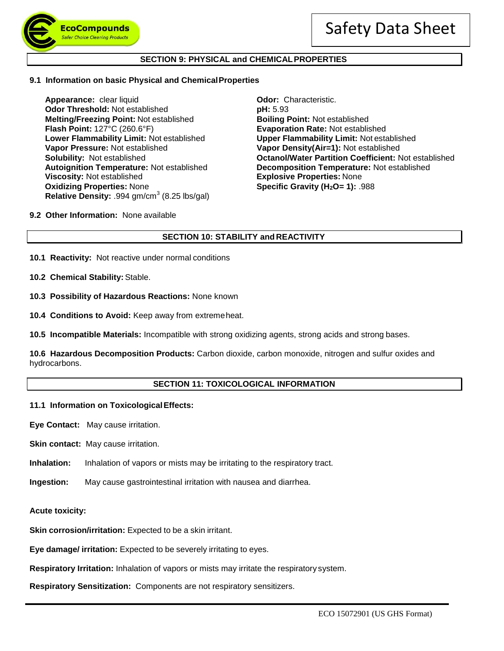

### **SECTION 9: PHYSICAL and CHEMICALPROPERTIES**

#### **9.1 Information on basic Physical and ChemicalProperties**

**Appearance:** clear liquid **Odor:** Characteristic.<br> **Odor Threshold:** Not established **Containery Containery DH:** 5.93 **Odor Threshold: Not established Melting/Freezing Point:** Not established **Boiling Point:** Not established **Flash Point:** 127°C (260.6°F) **Evaporation Rate:** Not established **Lower Flammability Limit:** Not established **Upper Flammability Limit:** Not established **Vapor Pressure:** Not established **Vapor Density(Air=1):** Not established **Oxidizing Properties:** None **Specific Gravity (H<sub>2</sub>O= 1):** .988 **Relative Density:** .994 gm/cm<sup>3</sup> (8.25 lbs/gal)

**Solubility:** Not established **Octanol/Water Partition Coefficient:** Not established **Contanting Contanting Contanting Contanting Contanting Autoignition Temperature: Not established Autoignition Temperature: Not establish Autoignition Temperature:** Not established **Decomposition Temperature:** Not established **Explosive Properties: None** 

**9.2 Other Information:** None available

## **SECTION 10: STABILITY and REACTIVITY**

- **10.1 Reactivity:** Not reactive under normal conditions
- **10.2 Chemical Stability:** Stable.
- **10.3 Possibility of Hazardous Reactions:** None known
- **10.4 Conditions to Avoid:** Keep away from extremeheat.
- **10.5 Incompatible Materials:** Incompatible with strong oxidizing agents, strong acids and strong bases.

**10.6 Hazardous Decomposition Products:** Carbon dioxide, carbon monoxide, nitrogen and sulfur oxides and hydrocarbons.

## **SECTION 11: TOXICOLOGICAL INFORMATION**

#### **11.1 Information on ToxicologicalEffects:**

**Eye Contact:** May cause irritation.

**Skin contact:** May cause irritation.

- **Inhalation:** Inhalation of vapors or mists may be irritating to the respiratory tract.
- **Ingestion:** May cause gastrointestinal irritation with nausea and diarrhea.
- **Acute toxicity:**

**Skin corrosion/irritation:** Expected to be a skin irritant.

**Eye damage/ irritation:** Expected to be severely irritating to eyes.

**Respiratory Irritation:** Inhalation of vapors or mists may irritate the respiratory system.

**Respiratory Sensitization:** Components are not respiratory sensitizers.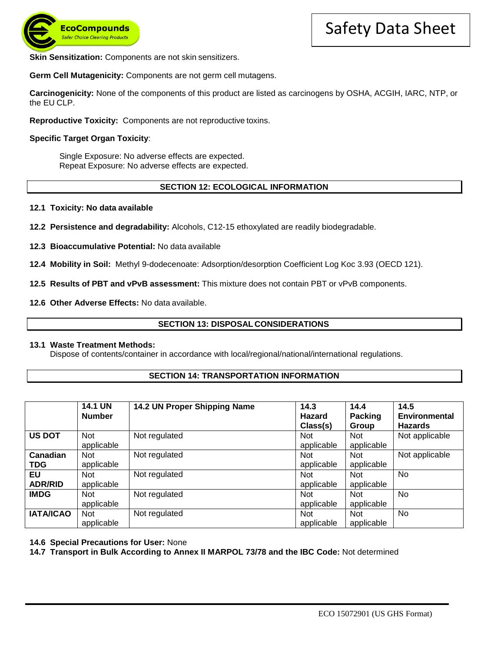

**Skin Sensitization:** Components are not skin sensitizers.

**Germ Cell Mutagenicity:** Components are not germ cell mutagens.

**Carcinogenicity:** None of the components of this product are listed as carcinogens by OSHA, ACGIH, IARC, NTP, or the EU CLP.

**Reproductive Toxicity:** Components are not reproductive toxins.

### **Specific Target Organ Toxicity**:

Single Exposure: No adverse effects are expected. Repeat Exposure: No adverse effects are expected.

### **SECTION 12: ECOLOGICAL INFORMATION**

- **12.1 Toxicity: No data available**
- **12.2 Persistence and degradability:** Alcohols, C12-15 ethoxylated are readily biodegradable.
- **12.3 Bioaccumulative Potential:** No data available

**12.4 Mobility in Soil:** Methyl 9-dodecenoate: Adsorption/desorption Coefficient Log Koc 3.93 (OECD 121).

**12.5 Results of PBT and vPvB assessment:** This mixture does not contain PBT or vPvB components.

**12.6 Other Adverse Effects:** No data available.

#### **SECTION 13: DISPOSAL CONSIDERATIONS**

#### **13.1 Waste Treatment Methods:**

Dispose of contents/container in accordance with local/regional/national/international regulations.

### **SECTION 14: TRANSPORTATION INFORMATION**

|                  | <b>14.1 UN</b> | 14.2 UN Proper Shipping Name | 14.3          | 14.4           | 14.5           |
|------------------|----------------|------------------------------|---------------|----------------|----------------|
|                  | <b>Number</b>  |                              | <b>Hazard</b> | <b>Packing</b> | Environmental  |
|                  |                |                              | Class(s)      | Group          | <b>Hazards</b> |
| <b>US DOT</b>    | <b>Not</b>     | Not regulated                | <b>Not</b>    | <b>Not</b>     | Not applicable |
|                  | applicable     |                              | applicable    | applicable     |                |
| Canadian         | <b>Not</b>     | Not regulated                | <b>Not</b>    | <b>Not</b>     | Not applicable |
| <b>TDG</b>       | applicable     |                              | applicable    | applicable     |                |
| EU               | <b>Not</b>     | Not regulated                | <b>Not</b>    | <b>Not</b>     | No             |
| <b>ADR/RID</b>   | applicable     |                              | applicable    | applicable     |                |
| <b>IMDG</b>      | <b>Not</b>     | Not regulated                | <b>Not</b>    | <b>Not</b>     | No             |
|                  | applicable     |                              | applicable    | applicable     |                |
| <b>IATA/ICAO</b> | <b>Not</b>     | Not regulated                | <b>Not</b>    | <b>Not</b>     | No.            |
|                  | applicable     |                              | applicable    | applicable     |                |

### **14.6 Special Precautions for User:** None

**14.7 Transport in Bulk According to Annex II MARPOL 73/78 and the IBC Code:** Not determined